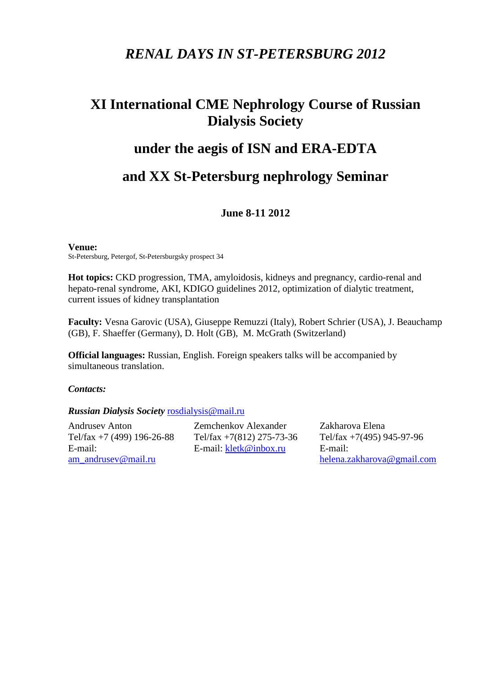## *RENAL DAYS IN ST-PETERSBURG 2012*

# **XI International CME Nephrology Course of Russian Dialysis Society**

## **under the aegis of ISN and ERA-EDTA**

## **and XX St-Petersburg nephrology Seminar**

### **June 8-11 2012**

#### **Venue:**

St-Petersburg, Petergof, St-Petersburgsky prospect 34

**Hot topics:** CKD progression, TMA, amyloidosis, kidneys and pregnancy, cardio-renal and hepato-renal syndrome, AKI, KDIGO guidelines 2012, optimization of dialytic treatment, current issues of kidney transplantation

**Faculty:** Vesna Garovic (USA), Giuseppe Remuzzi (Italy), Robert Schrier (USA), J. Beauchamp (GB), F. Shaeffer (Germany), D. Holt (GB), M. McGrath (Switzerland)

**Official languages:** Russian, English. Foreign speakers talks will be accompanied by simultaneous translation.

#### *Contacts:*

*Russian Dialysis Society* [rosdialysis@mail.ru](mailto:rosdialysis@mail.ru)

Andrusev Anton Tel/fax +7 (499) 196-26-88 E-mail: [am\\_andrusev@mail.ru](mailto:am_andrusev@mail.ru)

Zemchenkov Alexander Tel/fax +7(812) 275-73-36 E-mail: [kletk@inbox.ru](mailto:kletk@inbox.ru)

Zakharova Elena Tel/fax +7(495) 945-97-96 E-mail: [helena.zakharova@gmail.com](mailto:helena.zakharova@gmail.com)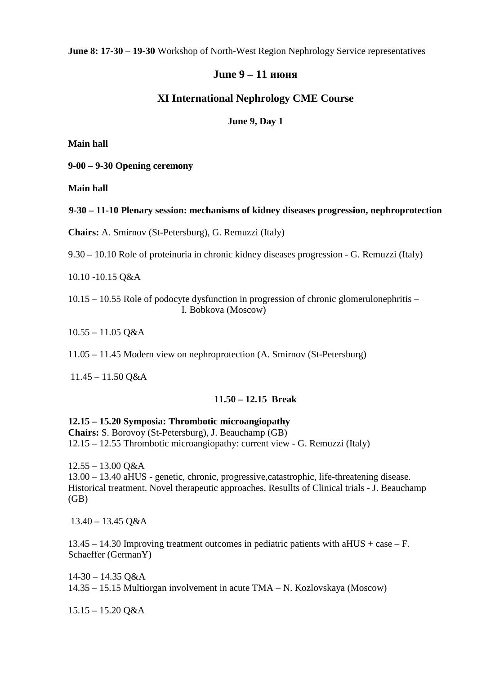**June 8: 17-30** – **19-30** Workshop of North-West Region Nephrology Service representatives

## **June 9 – 11 июня**

## **XI International Nephrology CME Course**

#### **June 9, Day 1**

**Main hall**

**9-00 – 9-30 Opening ceremony**

**Main hall**

**9-30 – 11-10 Plenary session: mechanisms of kidney diseases progression, nephroprotection**

**Chairs:** A. Smirnov (St-Petersburg), G. Remuzzi (Italy)

9.30 – 10.10 Role of proteinuria in chronic kidney diseases progression - G. Remuzzi (Italy)

10.10 -10.15 Q&A

10.15 – 10.55 Role of podocyte dysfunction in progression of chronic glomerulonephritis – I. Bobkova (Moscow)

10.55 – 11.05 Q&A

11.05 – 11.45 Modern view on nephroprotection (A. Smirnov (St-Petersburg)

11.45 – 11.50 Q&A

### **11.50 – 12.15 Break**

**12.15 – 15.20 Symposia: Thrombotic microangiopathy**

**Chairs:** S. Borovoy (St-Petersburg), J. Beauchamp (GB) 12.15 – 12.55 Thrombotic microangiopathy: current view - G. Remuzzi (Italy)

12.55 – 13.00 Q&A

13.00 – 13.40 aHUS - genetic, chronic, progressive,catastrophic, life-threatening disease. Historical treatment. Novel therapeutic approaches. Resullts of Clinical trials - J. Beauchamp (GB)

13.40 – 13.45 Q&A

13.45 – 14.30 Improving treatment outcomes in pediatric patients with aHUS + case – F. Schaeffer (GermanY)

14-30 – 14.35 Q&A 14.35 – 15.15 Multiorgan involvement in acute TMA – N. Kozlovskaya (Moscow)

 $15.15 - 15.20$  Q&A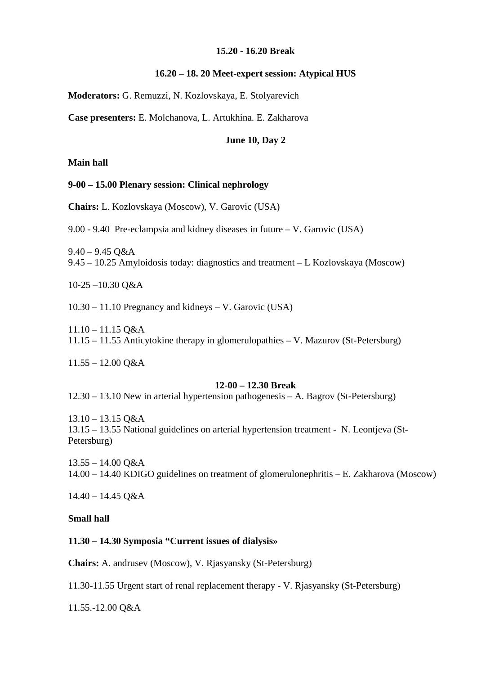#### **15.20 - 16.20 Break**

#### **16.20 – 18. 20 Meet-expert session: Atypical HUS**

**Moderators:** G. Remuzzi, N. Kozlovskaya, E. Stolyarevich

**Case presenters:** E. Molchanova, L. Artukhina. E. Zakharova

#### **June 10, Day 2**

**Main hall**

#### **9-00 – 15.00 Plenary session: Clinical nephrology**

**Chairs:** L. Kozlovskaya (Moscow), V. Garovic (USA)

9.00 - 9.40 Pre-eclampsia and kidney diseases in future – V. Garovic (USA)

 $9.40 - 9.45$  O&A 9.45 – 10.25 Amyloidosis today: diagnostics and treatment – L Kozlovskaya (Moscow)

10-25 –10.30 Q&A

10.30 – 11.10 Pregnancy and kidneys – V. Garovic (USA)

11.10 – 11.15 Q&A 11.15 – 11.55 Anticytokine therapy in glomerulopathies – V. Mazurov (St-Petersburg)

11.55 – 12.00 Q&A

#### **12-00 – 12.30 Break**

12.30 – 13.10 New in arterial hypertension pathogenesis – A. Bagrov (St-Petersburg)

13.10 – 13.15 Q&A 13.15 – 13.55 National guidelines on arterial hypertension treatment - N. Leontjeva (St-Petersburg)

13.55 – 14.00 Q&A 14.00 – 14.40 KDIGO guidelines on treatment of glomerulonephritis – E. Zakharova (Moscow)

14.40 – 14.45 Q&A

**Small hall**

#### **11.30 – 14.30 Symposia "Current issues of dialysis»**

**Chairs:** A. andrusev (Moscow), V. Rjasyansky (St-Petersburg)

11.30-11.55 Urgent start of renal replacement therapy - V. Rjasyansky (St-Petersburg)

11.55.-12.00 Q&A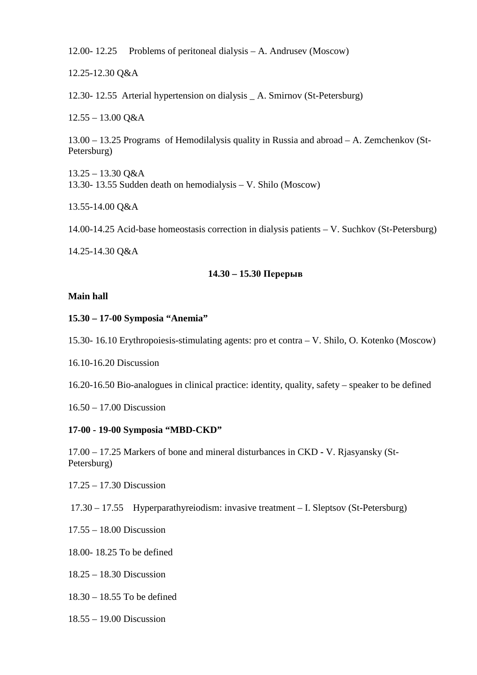12.00- 12.25 Problems of peritoneal dialysis – A. Andrusev (Moscow)

12.25-12.30 Q&A

12.30- 12.55 Arterial hypertension on dialysis \_ A. Smirnov (St-Petersburg)

12.55 – 13.00 Q&A

13.00 – 13.25 Programs of Hemodilalysis quality in Russia and abroad – A. Zemchenkov (St-Petersburg)

 $13.25 - 13.30$  O&A 13.30- 13.55 Sudden death on hemodialysis – V. Shilo (Moscow)

13.55-14.00 Q&A

14.00-14.25 Acid-base homeostasis correction in dialysis patients – V. Suchkov (St-Petersburg)

14.25-14.30 Q&A

#### **14.30 – 15.30 Перерыв**

#### **Main hall**

#### **15.30 – 17-00 Symposia "Anemia"**

15.30- 16.10 Erythropoiesis-stimulating agents: pro et contra – V. Shilo, O. Kotenko (Moscow)

16.10-16.20 Discussion

16.20-16.50 Bio-analogues in clinical practice: identity, quality, safety – speaker to be defined

16.50 – 17.00 Discussion

#### **17-00 - 19-00 Symposia "MBD-CKD"**

17.00 – 17.25 Markers of bone and mineral disturbances in CKD **-** V. Rjasyansky (St-Petersburg)

17.25 – 17.30 Discussion

17.30 – 17.55 Hyperparathyreiodism: invasive treatment – I. Sleptsov (St-Petersburg)

17.55 – 18.00 Discussion

18.00- 18.25 To be defined

18.25 – 18.30 Discussion

18.30 – 18.55 To be defined

18.55 – 19.00 Discussion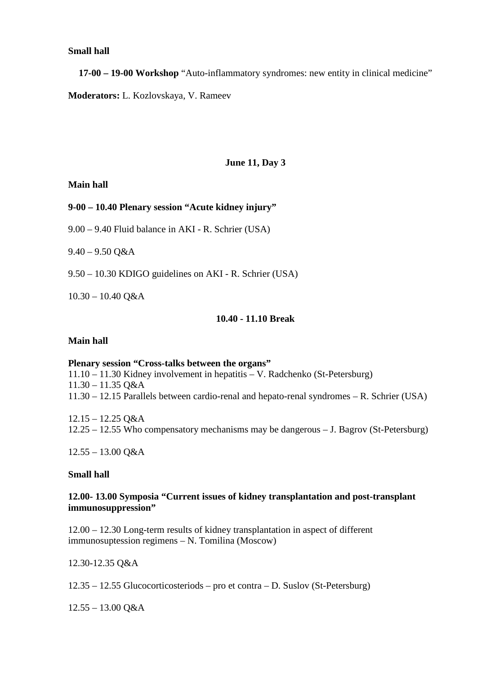#### **Small hall**

**17-00 – 19-00 Workshop** "Auto-inflammatory syndromes: new entity in clinical medicine" **Moderators:** L. Kozlovskaya, V. Rameev

## **June 11, Day 3**

#### **Main hall**

#### **9-00 – 10.40 Plenary session "Acute kidney injury"**

9.00 – 9.40 Fluid balance in AKI - R. Schrier (USA)

 $9.40 - 9.50$  O&A

9.50 – 10.30 KDIGO guidelines on AKI - R. Schrier (USA)

10.30 – 10.40 Q&A

#### **10.40 - 11.10 Break**

#### **Main hall**

**Plenary session "Cross-talks between the organs"** 11.10 – 11.30 Kidney involvement in hepatitis – V. Radchenko (St-Petersburg) 11.30 – 11.35 Q&A 11.30 – 12.15 Parallels between cardio-renal and hepato-renal syndromes – R. Schrier (USA)

12.15 – 12.25 Q&A 12.25 – 12.55 Who compensatory mechanisms may be dangerous – J. Bagrov (St-Petersburg)

 $12.55 - 13.00$  O&A

#### **Small hall**

#### **12.00- 13.00 Symposia "Current issues of kidney transplantation and post-transplant immunosuppression"**

12.00 – 12.30 Long-term results of kidney transplantation in aspect of different immunosuptession regimens – N. Tomilina (Moscow)

12.30-12.35 Q&A

12.35 – 12.55 Glucocorticosteriods – pro et contra – D. Suslov (St-Petersburg)

 $12.55 - 13.00$  Q&A